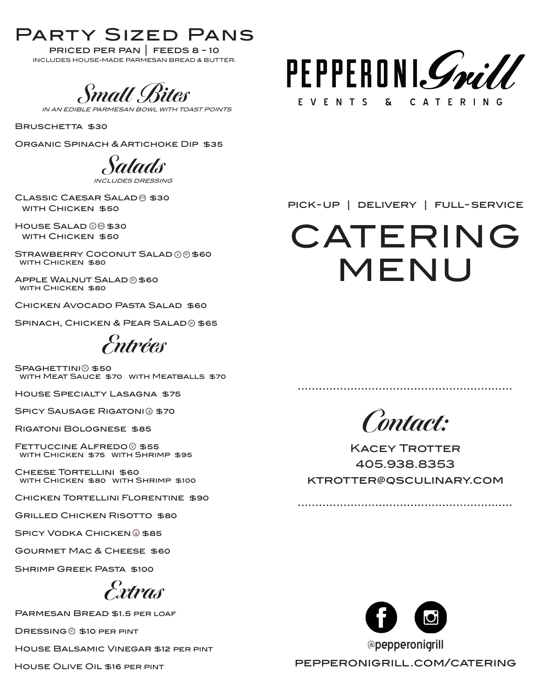## Party Sized Pans

priced per pan | feeds 8 - 10 INCLUDES HOUSE-MADE PARMESAN BREAD & BUTTER.

*Small Bites* 

**TOAST POINTS** 

BRUSCHETTA \$30

Organic Spinach & Artichoke Dip \$35

**Salads** 

INCLUDES DRESSING CLASSIC CAESAR SALAD<sup>®</sup> \$30

 $H$ OUSE SALAD  $@$  $@$  \$30 WITH CHICKEN \$50

WITH CHICKEN \$50

Strawberry Coconut Salad \$60 with Chicken \$80 V GF

APPLE WALNUT SALAD @ \$60 WITH CHICKEN \$80

Chicken Avocado Pasta Salad \$60

SPINACH, CHICKEN & PEAR SALAD @ \$65

**Entrées**

SPAGHETTINI<sup>(2)</sup> \$50 WITH MEAT SAUCE \$70 WITH MEATBALLS \$70

House Specialty Lasagna \$75

SPICY SAUSAGE RIGATONI<sup>®</sup> \$70

Rigatoni Bolognese \$85

WITH CHICKEN \$75 WITH SHRIMP \$95 FETTUCCINE ALFREDO<sup>®</sup> \$55

 Cheese Tortellini \$60 WITH CHICKEN \$80 WITH SHRIMP \$100

CHICKEN TORTELLINI FLORENTINE \$90

Grilled Chicken Risotto \$80

SPICY VODKA CHICKEN 0 \$85

Gourmet Mac & Cheese \$60

Shrimp Greek Pasta \$100

**Extras**

Parmesan Bread \$1.5 per loaf

DRESSING S10 PER PINT

House Balsamic Vinegar \$12 per pint

House Olive Oil \$16 per pint



pick-up | delivery | full- service

# CATERING MENU

**Contact:**

**KACEY TROTTER** 405.938.8353 ktrotter@qsculinary.com



pepperonigrill.com/catering